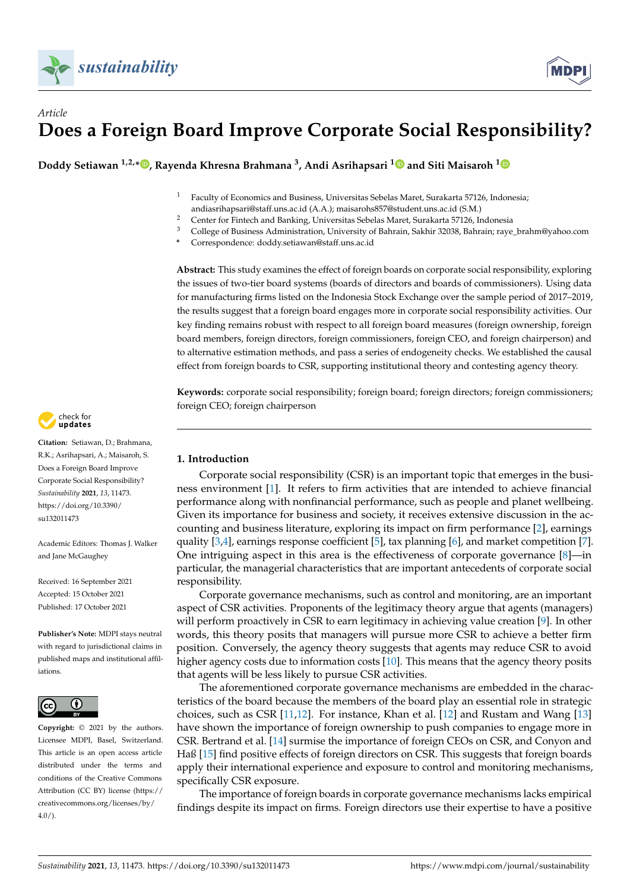

# *Article* **Does a Foreign Board Improve Corporate Social Responsibility?**

**Doddy Setiawan 1,2,[\\*](https://orcid.org/0000-0003-0394-0738) , Rayenda Khresna Brahmana <sup>3</sup> , Andi Asrihapsari [1](https://orcid.org/0000-0003-0098-9683) and Siti Maisaroh [1](https://orcid.org/0000-0003-3675-1853)**

- <sup>1</sup> Faculty of Economics and Business, Universitas Sebelas Maret, Surakarta 57126, Indonesia; andiasrihapsari@staff.uns.ac.id (A.A.); maisarohs857@student.uns.ac.id (S.M.)
- 2 Center for Fintech and Banking, Universitas Sebelas Maret, Surakarta 57126, Indonesia<br>3 Cellege of Business Administration University of Behrain Selshir 20028, Behrain taxa
- <sup>3</sup> College of Business Administration, University of Bahrain, Sakhir 32038, Bahrain; raye\_brahm@yahoo.com
- **\*** Correspondence: doddy.setiawan@staff.uns.ac.id

**Abstract:** This study examines the effect of foreign boards on corporate social responsibility, exploring the issues of two-tier board systems (boards of directors and boards of commissioners). Using data for manufacturing firms listed on the Indonesia Stock Exchange over the sample period of 2017–2019, the results suggest that a foreign board engages more in corporate social responsibility activities. Our key finding remains robust with respect to all foreign board measures (foreign ownership, foreign board members, foreign directors, foreign commissioners, foreign CEO, and foreign chairperson) and to alternative estimation methods, and pass a series of endogeneity checks. We established the causal effect from foreign boards to CSR, supporting institutional theory and contesting agency theory.

**Keywords:** corporate social responsibility; foreign board; foreign directors; foreign commissioners; foreign CEO; foreign chairperson

# **1. Introduction**

Corporate social responsibility (CSR) is an important topic that emerges in the business environment [\[1\]](#page-14-0). It refers to firm activities that are intended to achieve financial performance along with nonfinancial performance, such as people and planet wellbeing. Given its importance for business and society, it receives extensive discussion in the accounting and business literature, exploring its impact on firm performance [\[2\]](#page-14-1), earnings quality  $[3,4]$  $[3,4]$ , earnings response coefficient  $[5]$ , tax planning  $[6]$ , and market competition  $[7]$ . One intriguing aspect in this area is the effectiveness of corporate governance [\[8\]](#page-15-0)—in particular, the managerial characteristics that are important antecedents of corporate social responsibility.

Corporate governance mechanisms, such as control and monitoring, are an important aspect of CSR activities. Proponents of the legitimacy theory argue that agents (managers) will perform proactively in CSR to earn legitimacy in achieving value creation [\[9\]](#page-15-1). In other words, this theory posits that managers will pursue more CSR to achieve a better firm position. Conversely, the agency theory suggests that agents may reduce CSR to avoid higher agency costs due to information costs [\[10\]](#page-15-2). This means that the agency theory posits that agents will be less likely to pursue CSR activities.

The aforementioned corporate governance mechanisms are embedded in the characteristics of the board because the members of the board play an essential role in strategic choices, such as CSR [\[11,](#page-15-3)[12\]](#page-15-4). For instance, Khan et al. [\[12\]](#page-15-4) and Rustam and Wang [\[13\]](#page-15-5) have shown the importance of foreign ownership to push companies to engage more in CSR. Bertrand et al. [\[14\]](#page-15-6) surmise the importance of foreign CEOs on CSR, and Conyon and Haß [\[15\]](#page-15-7) find positive effects of foreign directors on CSR. This suggests that foreign boards apply their international experience and exposure to control and monitoring mechanisms, specifically CSR exposure.

The importance of foreign boards in corporate governance mechanisms lacks empirical findings despite its impact on firms. Foreign directors use their expertise to have a positive



**Citation:** Setiawan, D.; Brahmana, R.K.; Asrihapsari, A.; Maisaroh, S. Does a Foreign Board Improve Corporate Social Responsibility? *Sustainability* **2021**, *13*, 11473. [https://doi.org/10.3390/](https://doi.org/10.3390/su132011473) [su132011473](https://doi.org/10.3390/su132011473)

Academic Editors: Thomas J. Walker and Jane McGaughey

Received: 16 September 2021 Accepted: 15 October 2021 Published: 17 October 2021

**Publisher's Note:** MDPI stays neutral with regard to jurisdictional claims in published maps and institutional affiliations.



**Copyright:** © 2021 by the authors. Licensee MDPI, Basel, Switzerland. This article is an open access article distributed under the terms and conditions of the Creative Commons Attribution (CC BY) license (https:/[/](https://creativecommons.org/licenses/by/4.0/) [creativecommons.org/licenses/by/](https://creativecommons.org/licenses/by/4.0/)  $4.0/$ ).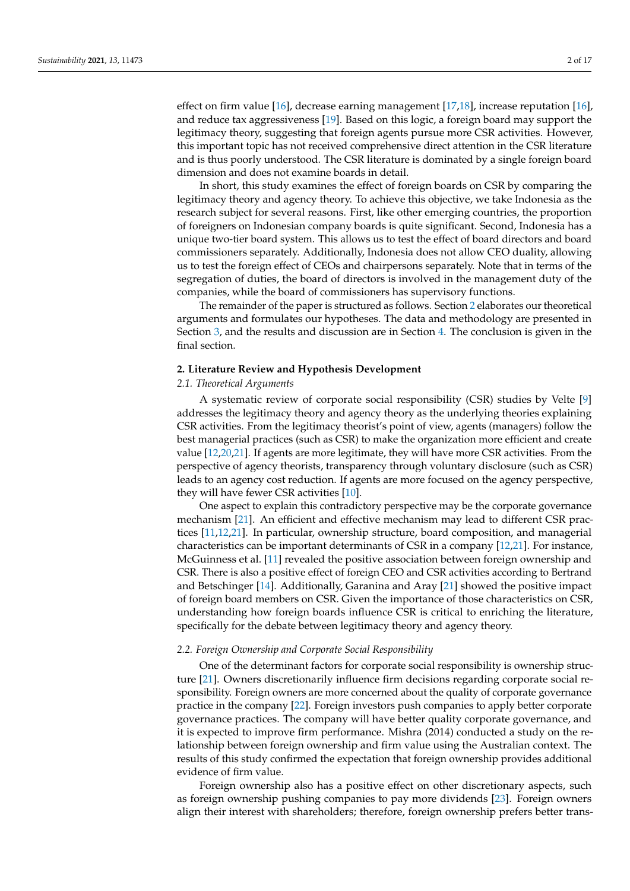effect on firm value [\[16\]](#page-15-8), decrease earning management [\[17,](#page-15-9)[18\]](#page-15-10), increase reputation [16], and reduce tax aggressiveness [\[19\]](#page-15-11). Based on this logic, a foreign board may support the legitimacy theory, suggesting that foreign agents pursue more CSR activities. However, this important topic has not received comprehensive direct attention in the CSR literature and is thus poorly understood. The CSR literature is dominated by a single foreign board dimension and does not examine boards in detail.

In short, this study examines the effect of foreign boards on CSR by comparing the legitimacy theory and agency theory. To achieve this objective, we take Indonesia as the research subject for several reasons. First, like other emerging countries, the proportion of foreigners on Indonesian company boards is quite significant. Second, Indonesia has a unique two-tier board system. This allows us to test the effect of board directors and board commissioners separately. Additionally, Indonesia does not allow CEO duality, allowing us to test the foreign effect of CEOs and chairpersons separately. Note that in terms of the segregation of duties, the board of directors is involved in the management duty of the companies, while the board of commissioners has supervisory functions.

The remainder of the paper is structured as follows. Section [2](#page-1-0) elaborates our theoretical arguments and formulates our hypotheses. The data and methodology are presented in Section [3,](#page-3-0) and the results and discussion are in Section [4.](#page-5-0) The conclusion is given in the final section.

#### <span id="page-1-0"></span>**2. Literature Review and Hypothesis Development**

## *2.1. Theoretical Arguments*

A systematic review of corporate social responsibility (CSR) studies by Velte [\[9\]](#page-15-1) addresses the legitimacy theory and agency theory as the underlying theories explaining CSR activities. From the legitimacy theorist's point of view, agents (managers) follow the best managerial practices (such as CSR) to make the organization more efficient and create value [\[12](#page-15-4)[,20,](#page-15-12)[21\]](#page-15-13). If agents are more legitimate, they will have more CSR activities. From the perspective of agency theorists, transparency through voluntary disclosure (such as CSR) leads to an agency cost reduction. If agents are more focused on the agency perspective, they will have fewer CSR activities [\[10\]](#page-15-2).

One aspect to explain this contradictory perspective may be the corporate governance mechanism [\[21\]](#page-15-13). An efficient and effective mechanism may lead to different CSR practices [\[11,](#page-15-3)[12,](#page-15-4)[21\]](#page-15-13). In particular, ownership structure, board composition, and managerial characteristics can be important determinants of CSR in a company [\[12](#page-15-4)[,21\]](#page-15-13). For instance, McGuinness et al. [\[11\]](#page-15-3) revealed the positive association between foreign ownership and CSR. There is also a positive effect of foreign CEO and CSR activities according to Bertrand and Betschinger [\[14\]](#page-15-6). Additionally, Garanina and Aray [\[21\]](#page-15-13) showed the positive impact of foreign board members on CSR. Given the importance of those characteristics on CSR, understanding how foreign boards influence CSR is critical to enriching the literature, specifically for the debate between legitimacy theory and agency theory.

#### *2.2. Foreign Ownership and Corporate Social Responsibility*

One of the determinant factors for corporate social responsibility is ownership structure [\[21\]](#page-15-13). Owners discretionarily influence firm decisions regarding corporate social responsibility. Foreign owners are more concerned about the quality of corporate governance practice in the company [\[22\]](#page-15-14). Foreign investors push companies to apply better corporate governance practices. The company will have better quality corporate governance, and it is expected to improve firm performance. Mishra (2014) conducted a study on the relationship between foreign ownership and firm value using the Australian context. The results of this study confirmed the expectation that foreign ownership provides additional evidence of firm value.

Foreign ownership also has a positive effect on other discretionary aspects, such as foreign ownership pushing companies to pay more dividends [\[23\]](#page-15-15). Foreign owners align their interest with shareholders; therefore, foreign ownership prefers better trans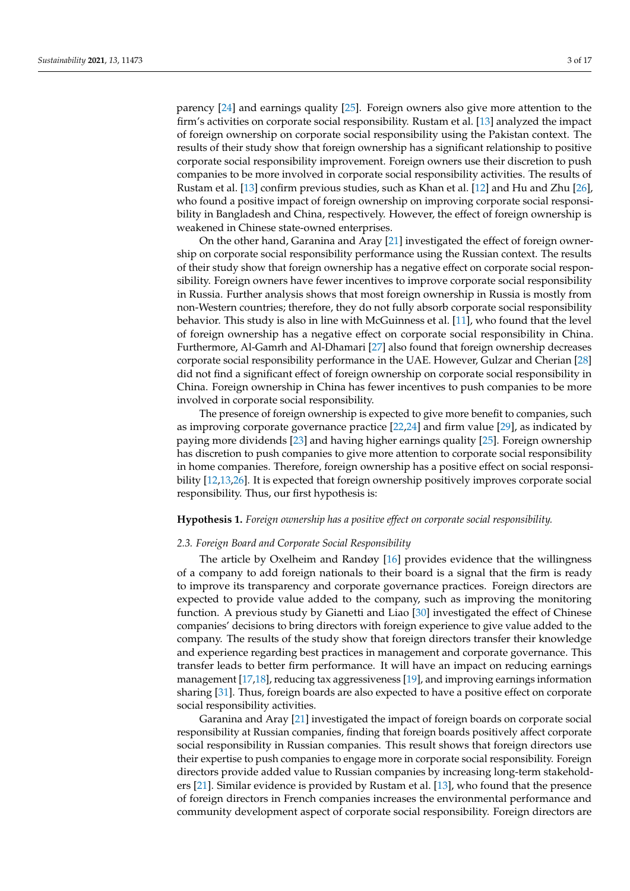parency [\[24\]](#page-15-16) and earnings quality [\[25\]](#page-15-17). Foreign owners also give more attention to the firm's activities on corporate social responsibility. Rustam et al. [\[13\]](#page-15-5) analyzed the impact of foreign ownership on corporate social responsibility using the Pakistan context. The results of their study show that foreign ownership has a significant relationship to positive corporate social responsibility improvement. Foreign owners use their discretion to push companies to be more involved in corporate social responsibility activities. The results of Rustam et al. [\[13\]](#page-15-5) confirm previous studies, such as Khan et al. [\[12\]](#page-15-4) and Hu and Zhu [\[26\]](#page-15-18), who found a positive impact of foreign ownership on improving corporate social responsibility in Bangladesh and China, respectively. However, the effect of foreign ownership is weakened in Chinese state-owned enterprises.

On the other hand, Garanina and Aray [\[21\]](#page-15-13) investigated the effect of foreign ownership on corporate social responsibility performance using the Russian context. The results of their study show that foreign ownership has a negative effect on corporate social responsibility. Foreign owners have fewer incentives to improve corporate social responsibility in Russia. Further analysis shows that most foreign ownership in Russia is mostly from non-Western countries; therefore, they do not fully absorb corporate social responsibility behavior. This study is also in line with McGuinness et al. [\[11\]](#page-15-3), who found that the level of foreign ownership has a negative effect on corporate social responsibility in China. Furthermore, Al-Gamrh and Al-Dhamari [\[27\]](#page-15-19) also found that foreign ownership decreases corporate social responsibility performance in the UAE. However, Gulzar and Cherian [\[28\]](#page-15-20) did not find a significant effect of foreign ownership on corporate social responsibility in China. Foreign ownership in China has fewer incentives to push companies to be more involved in corporate social responsibility.

The presence of foreign ownership is expected to give more benefit to companies, such as improving corporate governance practice [\[22,](#page-15-14)[24\]](#page-15-16) and firm value [\[29\]](#page-15-21), as indicated by paying more dividends [\[23\]](#page-15-15) and having higher earnings quality [\[25\]](#page-15-17). Foreign ownership has discretion to push companies to give more attention to corporate social responsibility in home companies. Therefore, foreign ownership has a positive effect on social responsibility [\[12,](#page-15-4)[13,](#page-15-5)[26\]](#page-15-18). It is expected that foreign ownership positively improves corporate social responsibility. Thus, our first hypothesis is:

# **Hypothesis 1.** *Foreign ownership has a positive effect on corporate social responsibility.*

#### *2.3. Foreign Board and Corporate Social Responsibility*

The article by Oxelheim and Randøy [\[16\]](#page-15-8) provides evidence that the willingness of a company to add foreign nationals to their board is a signal that the firm is ready to improve its transparency and corporate governance practices. Foreign directors are expected to provide value added to the company, such as improving the monitoring function. A previous study by Gianetti and Liao [\[30\]](#page-15-22) investigated the effect of Chinese companies' decisions to bring directors with foreign experience to give value added to the company. The results of the study show that foreign directors transfer their knowledge and experience regarding best practices in management and corporate governance. This transfer leads to better firm performance. It will have an impact on reducing earnings management [\[17](#page-15-9)[,18\]](#page-15-10), reducing tax aggressiveness [\[19\]](#page-15-11), and improving earnings information sharing [\[31\]](#page-15-23). Thus, foreign boards are also expected to have a positive effect on corporate social responsibility activities.

Garanina and Aray [\[21\]](#page-15-13) investigated the impact of foreign boards on corporate social responsibility at Russian companies, finding that foreign boards positively affect corporate social responsibility in Russian companies. This result shows that foreign directors use their expertise to push companies to engage more in corporate social responsibility. Foreign directors provide added value to Russian companies by increasing long-term stakeholders [\[21\]](#page-15-13). Similar evidence is provided by Rustam et al. [\[13\]](#page-15-5), who found that the presence of foreign directors in French companies increases the environmental performance and community development aspect of corporate social responsibility. Foreign directors are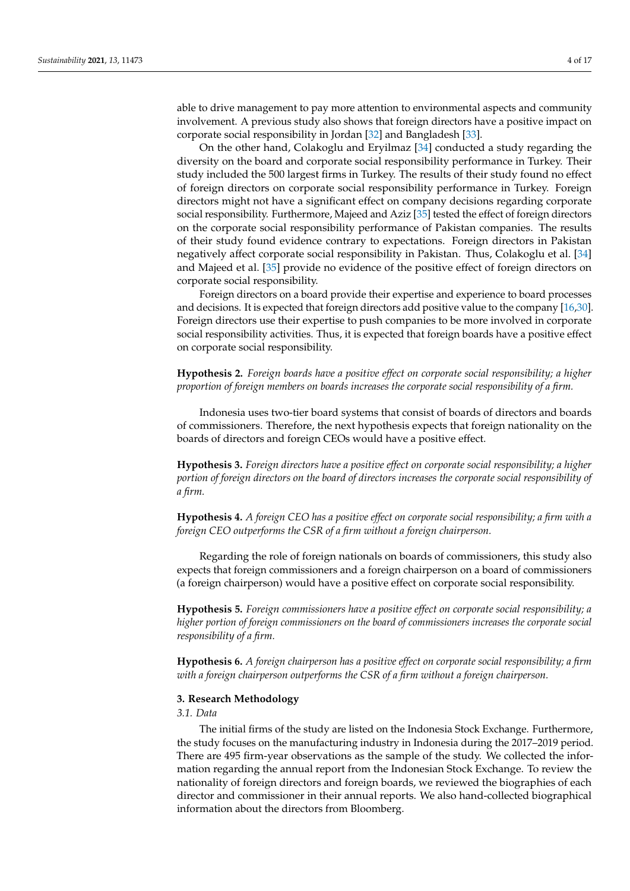able to drive management to pay more attention to environmental aspects and community involvement. A previous study also shows that foreign directors have a positive impact on corporate social responsibility in Jordan [\[32\]](#page-15-24) and Bangladesh [\[33\]](#page-15-25).

On the other hand, Colakoglu and Eryilmaz [\[34\]](#page-15-26) conducted a study regarding the diversity on the board and corporate social responsibility performance in Turkey. Their study included the 500 largest firms in Turkey. The results of their study found no effect of foreign directors on corporate social responsibility performance in Turkey. Foreign directors might not have a significant effect on company decisions regarding corporate social responsibility. Furthermore, Majeed and Aziz [\[35\]](#page-15-27) tested the effect of foreign directors on the corporate social responsibility performance of Pakistan companies. The results of their study found evidence contrary to expectations. Foreign directors in Pakistan negatively affect corporate social responsibility in Pakistan. Thus, Colakoglu et al. [\[34\]](#page-15-26) and Majeed et al. [\[35\]](#page-15-27) provide no evidence of the positive effect of foreign directors on corporate social responsibility.

Foreign directors on a board provide their expertise and experience to board processes and decisions. It is expected that foreign directors add positive value to the company [\[16](#page-15-8)[,30\]](#page-15-22). Foreign directors use their expertise to push companies to be more involved in corporate social responsibility activities. Thus, it is expected that foreign boards have a positive effect on corporate social responsibility.

**Hypothesis 2.** *Foreign boards have a positive effect on corporate social responsibility; a higher proportion of foreign members on boards increases the corporate social responsibility of a firm.*

Indonesia uses two-tier board systems that consist of boards of directors and boards of commissioners. Therefore, the next hypothesis expects that foreign nationality on the boards of directors and foreign CEOs would have a positive effect.

**Hypothesis 3.** *Foreign directors have a positive effect on corporate social responsibility; a higher portion of foreign directors on the board of directors increases the corporate social responsibility of a firm.*

**Hypothesis 4.** *A foreign CEO has a positive effect on corporate social responsibility; a firm with a foreign CEO outperforms the CSR of a firm without a foreign chairperson.*

Regarding the role of foreign nationals on boards of commissioners, this study also expects that foreign commissioners and a foreign chairperson on a board of commissioners (a foreign chairperson) would have a positive effect on corporate social responsibility.

**Hypothesis 5.** *Foreign commissioners have a positive effect on corporate social responsibility; a higher portion of foreign commissioners on the board of commissioners increases the corporate social responsibility of a firm.*

**Hypothesis 6.** *A foreign chairperson has a positive effect on corporate social responsibility; a firm with a foreign chairperson outperforms the CSR of a firm without a foreign chairperson.*

# <span id="page-3-0"></span>**3. Research Methodology**

## *3.1. Data*

The initial firms of the study are listed on the Indonesia Stock Exchange. Furthermore, the study focuses on the manufacturing industry in Indonesia during the 2017–2019 period. There are 495 firm-year observations as the sample of the study. We collected the information regarding the annual report from the Indonesian Stock Exchange. To review the nationality of foreign directors and foreign boards, we reviewed the biographies of each director and commissioner in their annual reports. We also hand-collected biographical information about the directors from Bloomberg.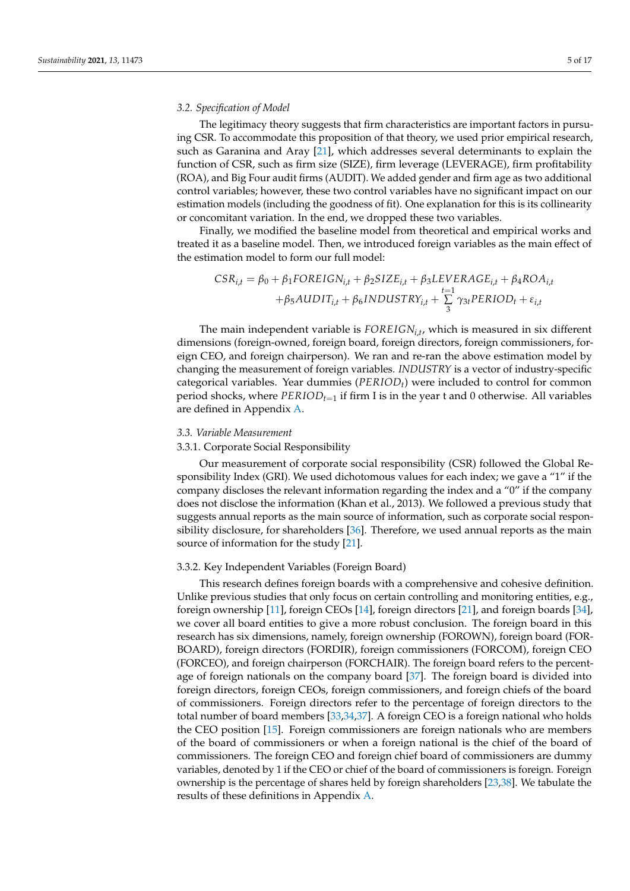## *3.2. Specification of Model*

The legitimacy theory suggests that firm characteristics are important factors in pursuing CSR. To accommodate this proposition of that theory, we used prior empirical research, such as Garanina and Aray [\[21\]](#page-15-13), which addresses several determinants to explain the function of CSR, such as firm size (SIZE), firm leverage (LEVERAGE), firm profitability (ROA), and Big Four audit firms (AUDIT). We added gender and firm age as two additional control variables; however, these two control variables have no significant impact on our estimation models (including the goodness of fit). One explanation for this is its collinearity or concomitant variation. In the end, we dropped these two variables.

Finally, we modified the baseline model from theoretical and empirical works and treated it as a baseline model. Then, we introduced foreign variables as the main effect of the estimation model to form our full model:

$$
CSR_{i,t} = \beta_0 + \beta_1 FOREIGN_{i,t} + \beta_2 SIZE_{i,t} + \beta_3 LEVERAGE_{i,t} + \beta_4 ROA_{i,t} + \beta_5 AUDIT_{i,t} + \beta_6 INDUSTRY_{i,t} + \sum_{3}^{t=1} \gamma_{3t} PERIOD_t + \varepsilon_{i,t}
$$

The main independent variable is *FOREIGNi*,*<sup>t</sup>* , which is measured in six different dimensions (foreign-owned, foreign board, foreign directors, foreign commissioners, foreign CEO, and foreign chairperson). We ran and re-ran the above estimation model by changing the measurement of foreign variables. *INDUSTRY* is a vector of industry-specific categorical variables. Year dummies (*PERIODt*) were included to control for common period shocks, where *PERIODt*=<sup>1</sup> if firm I is in the year t and 0 otherwise. All variables are defined in Appendix [A.](#page-14-7)

## *3.3. Variable Measurement*

## 3.3.1. Corporate Social Responsibility

Our measurement of corporate social responsibility (CSR) followed the Global Responsibility Index (GRI). We used dichotomous values for each index; we gave a "1" if the company discloses the relevant information regarding the index and a "0" if the company does not disclose the information (Khan et al., 2013). We followed a previous study that suggests annual reports as the main source of information, such as corporate social responsibility disclosure, for shareholders [\[36\]](#page-15-28). Therefore, we used annual reports as the main source of information for the study [\[21\]](#page-15-13).

#### 3.3.2. Key Independent Variables (Foreign Board)

This research defines foreign boards with a comprehensive and cohesive definition. Unlike previous studies that only focus on certain controlling and monitoring entities, e.g., foreign ownership [\[11\]](#page-15-3), foreign CEOs [\[14\]](#page-15-6), foreign directors [\[21\]](#page-15-13), and foreign boards [\[34\]](#page-15-26), we cover all board entities to give a more robust conclusion. The foreign board in this research has six dimensions, namely, foreign ownership (FOROWN), foreign board (FOR-BOARD), foreign directors (FORDIR), foreign commissioners (FORCOM), foreign CEO (FORCEO), and foreign chairperson (FORCHAIR). The foreign board refers to the percentage of foreign nationals on the company board [\[37\]](#page-15-29). The foreign board is divided into foreign directors, foreign CEOs, foreign commissioners, and foreign chiefs of the board of commissioners. Foreign directors refer to the percentage of foreign directors to the total number of board members [\[33](#page-15-25)[,34](#page-15-26)[,37\]](#page-15-29). A foreign CEO is a foreign national who holds the CEO position [\[15\]](#page-15-7). Foreign commissioners are foreign nationals who are members of the board of commissioners or when a foreign national is the chief of the board of commissioners. The foreign CEO and foreign chief board of commissioners are dummy variables, denoted by 1 if the CEO or chief of the board of commissioners is foreign. Foreign ownership is the percentage of shares held by foreign shareholders [\[23,](#page-15-15)[38\]](#page-15-30). We tabulate the results of these definitions in Appendix [A.](#page-14-7)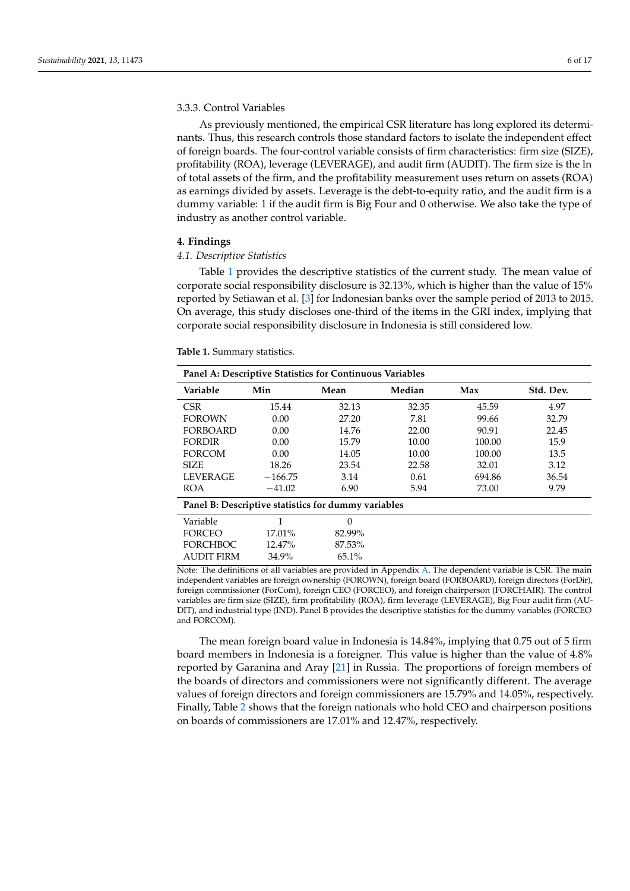## 3.3.3. Control Variables

As previously mentioned, the empirical CSR literature has long explored its determinants. Thus, this research controls those standard factors to isolate the independent effect of foreign boards. The four-control variable consists of firm characteristics: firm size (SIZE), profitability (ROA), leverage (LEVERAGE), and audit firm (AUDIT). The firm size is the ln of total assets of the firm, and the profitability measurement uses return on assets (ROA) as earnings divided by assets. Leverage is the debt-to-equity ratio, and the audit firm is a dummy variable: 1 if the audit firm is Big Four and 0 otherwise. We also take the type of industry as another control variable.

#### <span id="page-5-0"></span>**4. Findings**

#### *4.1. Descriptive Statistics*

Table [1](#page-5-1) provides the descriptive statistics of the current study. The mean value of corporate social responsibility disclosure is 32.13%, which is higher than the value of 15% reported by Setiawan et al. [\[3\]](#page-14-2) for Indonesian banks over the sample period of 2013 to 2015. On average, this study discloses one-third of the items in the GRI index, implying that corporate social responsibility disclosure in Indonesia is still considered low.

<span id="page-5-1"></span>**Table 1.** Summary statistics.

| Panel A: Descriptive Statistics for Continuous Variables |           |          |        |        |           |
|----------------------------------------------------------|-----------|----------|--------|--------|-----------|
| Variable                                                 | Min       | Mean     | Median | Max    | Std. Dev. |
| CSR.                                                     | 15.44     | 32.13    | 32.35  | 45.59  | 4.97      |
| <b>FOROWN</b>                                            | 0.00      | 27.20    | 7.81   | 99.66  | 32.79     |
| <b>FORBOARD</b>                                          | 0.00      | 14.76    | 22.00  | 90.91  | 22.45     |
| <b>FORDIR</b>                                            | 0.00      | 15.79    | 10.00  | 100.00 | 15.9      |
| <b>FORCOM</b>                                            | 0.00      | 14.05    | 10.00  | 100.00 | 13.5      |
| <b>SIZE</b>                                              | 18.26     | 23.54    | 22.58  | 32.01  | 3.12      |
| <b>LEVERAGE</b>                                          | $-166.75$ | 3.14     | 0.61   | 694.86 | 36.54     |
| <b>ROA</b>                                               | $-41.02$  | 6.90     | 5.94   | 73.00  | 9.79      |
| Panel B: Descriptive statistics for dummy variables      |           |          |        |        |           |
| Variable                                                 | 1         | $\Omega$ |        |        |           |
| <b>FORCEO</b>                                            | 17.01%    | 82.99%   |        |        |           |
| <b>FORCHBOC</b>                                          | 12.47%    | 87.53%   |        |        |           |
| <b>AUDIT FIRM</b>                                        | 34.9%     | 65.1%    |        |        |           |

Note: The definitions of all variables are provided in Appendix [A.](#page-14-7) The dependent variable is CSR. The main independent variables are foreign ownership (FOROWN), foreign board (FORBOARD), foreign directors (ForDir), foreign commissioner (ForCom), foreign CEO (FORCEO), and foreign chairperson (FORCHAIR). The control variables are firm size (SIZE), firm profitability (ROA), firm leverage (LEVERAGE), Big Four audit firm (AU-DIT), and industrial type (IND). Panel B provides the descriptive statistics for the dummy variables (FORCEO and FORCOM).

The mean foreign board value in Indonesia is 14.84%, implying that 0.75 out of 5 firm board members in Indonesia is a foreigner. This value is higher than the value of 4.8% reported by Garanina and Aray [\[21\]](#page-15-13) in Russia. The proportions of foreign members of the boards of directors and commissioners were not significantly different. The average values of foreign directors and foreign commissioners are 15.79% and 14.05%, respectively. Finally, Table [2](#page-6-0) shows that the foreign nationals who hold CEO and chairperson positions on boards of commissioners are 17.01% and 12.47%, respectively.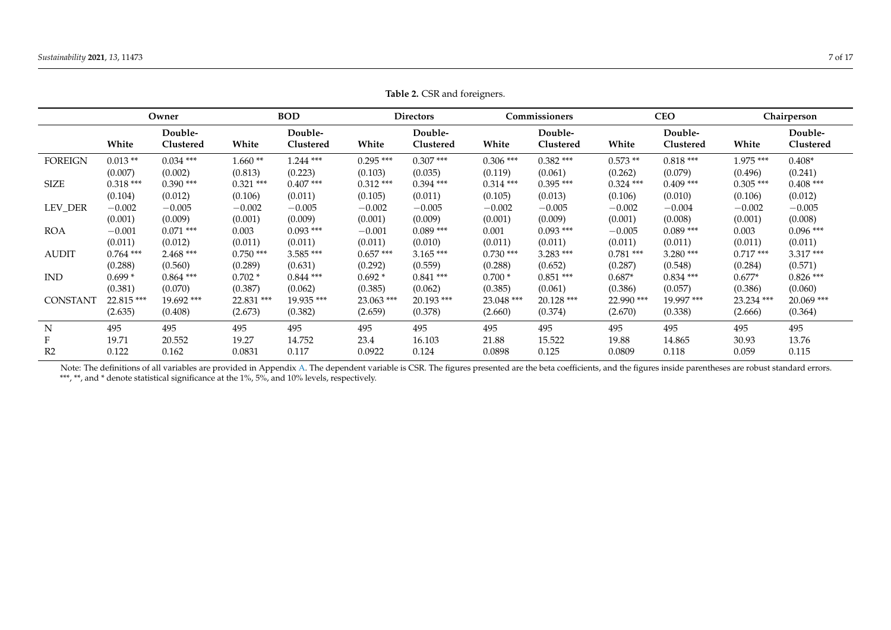|                 |             | Owner                |             | <b>BOD</b>           |             | <b>Directors</b>     |             | Commissioners        |             | <b>CEO</b>           |             | Chairperson          |
|-----------------|-------------|----------------------|-------------|----------------------|-------------|----------------------|-------------|----------------------|-------------|----------------------|-------------|----------------------|
|                 | White       | Double-<br>Clustered | White       | Double-<br>Clustered | White       | Double-<br>Clustered | White       | Double-<br>Clustered | White       | Double-<br>Clustered | White       | Double-<br>Clustered |
| <b>FOREIGN</b>  | $0.013**$   | $0.034$ ***          | $1.660**$   | $1.244$ ***          | $0.295***$  | $0.307$ ***          | $0.306$ *** | $0.382$ ***          | $0.573**$   | $0.818***$           | 1.975 ***   | $0.408*$             |
|                 | (0.007)     | (0.002)              | (0.813)     | (0.223)              | (0.103)     | (0.035)              | (0.119)     | (0.061)              | (0.262)     | (0.079)              | (0.496)     | (0.241)              |
| <b>SIZE</b>     | $0.318***$  | $0.390$ ***          | $0.321$ *** | $0.407$ ***          | $0.312$ *** | $0.394$ ***          | $0.314***$  | $0.395***$           | $0.324$ *** | $0.409$ ***          | $0.305$ *** | $0.408***$           |
|                 | (0.104)     | (0.012)              | (0.106)     | (0.011)              | (0.105)     | (0.011)              | (0.105)     | (0.013)              | (0.106)     | (0.010)              | (0.106)     | (0.012)              |
| LEV_DER         | $-0.002$    | $-0.005$             | $-0.002$    | $-0.005$             | $-0.002$    | $-0.005$             | $-0.002$    | $-0.005$             | $-0.002$    | $-0.004$             | $-0.002$    | $-0.005$             |
|                 | (0.001)     | (0.009)              | (0.001)     | (0.009)              | (0.001)     | (0.009)              | (0.001)     | (0.009)              | (0.001)     | (0.008)              | (0.001)     | (0.008)              |
| <b>ROA</b>      | $-0.001$    | $0.071$ ***          | 0.003       | $0.093$ ***          | $-0.001$    | $0.089$ ***          | 0.001       | $0.093$ ***          | $-0.005$    | $0.089***$           | 0.003       | $0.096$ ***          |
|                 | (0.011)     | (0.012)              | (0.011)     | (0.011)              | (0.011)     | (0.010)              | (0.011)     | (0.011)              | (0.011)     | (0.011)              | (0.011)     | (0.011)              |
| <b>AUDIT</b>    | $0.764$ *** | $2.468$ ***          | $0.750$ *** | $3.585***$           | $0.657***$  | $3.165$ ***          | $0.730$ *** | $3.283$ ***          | $0.781$ *** | $3.280$ ***          | $0.717***$  | $3.317***$           |
|                 | (0.288)     | (0.560)              | (0.289)     | (0.631)              | (0.292)     | (0.559)              | (0.288)     | (0.652)              | (0.287)     | (0.548)              | (0.284)     | (0.571)              |
| <b>IND</b>      | $0.699*$    | $0.864$ ***          | $0.702*$    | $0.844$ ***          | $0.692*$    | $0.841$ ***          | $0.700*$    | $0.851***$           | $0.687*$    | $0.834$ ***          | $0.677*$    | $0.826$ ***          |
|                 | (0.381)     | (0.070)              | (0.387)     | (0.062)              | (0.385)     | (0.062)              | (0.385)     | (0.061)              | (0.386)     | (0.057)              | (0.386)     | (0.060)              |
| <b>CONSTANT</b> | 22.815***   | 19.692 ***           | 22.831 ***  | 19.935 ***           | 23.063 ***  | 20.193***            | 23.048 ***  | $20.128$ ***         | 22.990 ***  | 19.997 ***           | 23.234 ***  | $20.069$ ***         |
|                 | (2.635)     | (0.408)              | (2.673)     | (0.382)              | (2.659)     | (0.378)              | (2.660)     | (0.374)              | (2.670)     | (0.338)              | (2.666)     | (0.364)              |
| N               | 495         | 495                  | 495         | 495                  | 495         | 495                  | 495         | 495                  | 495         | 495                  | 495         | 495                  |
| F               | 19.71       | 20.552               | 19.27       | 14.752               | 23.4        | 16.103               | 21.88       | 15.522               | 19.88       | 14.865               | 30.93       | 13.76                |
| R <sub>2</sub>  | 0.122       | 0.162                | 0.0831      | 0.117                | 0.0922      | 0.124                | 0.0898      | 0.125                | 0.0809      | 0.118                | 0.059       | 0.115                |

<span id="page-6-0"></span>Note: The definitions of all variables are provided in Appendix [A.](#page-14-8) The dependent variable is CSR. The figures presented are the beta coefficients, and the figures inside parentheses are robust standard errors. \*\*\*, \*\*, and \* denote statistical significance at the 1%, 5%, and 10% levels, respectively.

**Table 2.** CSR and foreigners.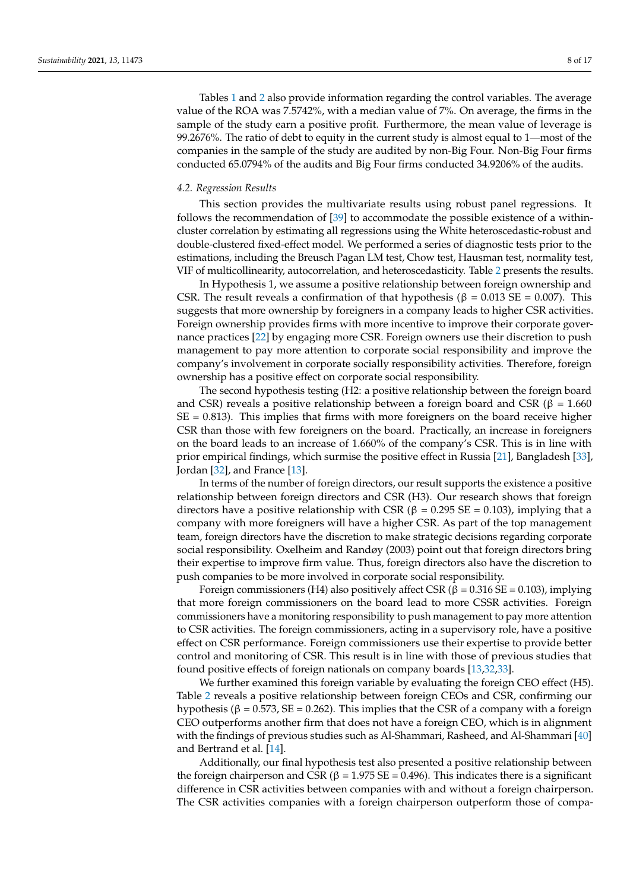Tables [1](#page-5-1) and [2](#page-6-0) also provide information regarding the control variables. The average value of the ROA was 7.5742%, with a median value of 7%. On average, the firms in the sample of the study earn a positive profit. Furthermore, the mean value of leverage is 99.2676%. The ratio of debt to equity in the current study is almost equal to 1—most of the companies in the sample of the study are audited by non-Big Four. Non-Big Four firms conducted 65.0794% of the audits and Big Four firms conducted 34.9206% of the audits.

#### *4.2. Regression Results*

This section provides the multivariate results using robust panel regressions. It follows the recommendation of [\[39\]](#page-16-0) to accommodate the possible existence of a withincluster correlation by estimating all regressions using the White heteroscedastic-robust and double-clustered fixed-effect model. We performed a series of diagnostic tests prior to the estimations, including the Breusch Pagan LM test, Chow test, Hausman test, normality test, VIF of multicollinearity, autocorrelation, and heteroscedasticity. Table [2](#page-6-0) presents the results.

In Hypothesis 1, we assume a positive relationship between foreign ownership and CSR. The result reveals a confirmation of that hypothesis ( $\beta = 0.013$  SE = 0.007). This suggests that more ownership by foreigners in a company leads to higher CSR activities. Foreign ownership provides firms with more incentive to improve their corporate governance practices [\[22\]](#page-15-14) by engaging more CSR. Foreign owners use their discretion to push management to pay more attention to corporate social responsibility and improve the company's involvement in corporate socially responsibility activities. Therefore, foreign ownership has a positive effect on corporate social responsibility.

The second hypothesis testing (H2: a positive relationship between the foreign board and CSR) reveals a positive relationship between a foreign board and CSR ( $\beta$  = 1.660)  $SE = 0.813$ ). This implies that firms with more foreigners on the board receive higher CSR than those with few foreigners on the board. Practically, an increase in foreigners on the board leads to an increase of 1.660% of the company's CSR. This is in line with prior empirical findings, which surmise the positive effect in Russia [\[21\]](#page-15-13), Bangladesh [\[33\]](#page-15-25), Jordan [\[32\]](#page-15-24), and France [\[13\]](#page-15-5).

In terms of the number of foreign directors, our result supports the existence a positive relationship between foreign directors and CSR (H3). Our research shows that foreign directors have a positive relationship with CSR (β = 0.295 SE = 0.103), implying that a company with more foreigners will have a higher CSR. As part of the top management team, foreign directors have the discretion to make strategic decisions regarding corporate social responsibility. Oxelheim and Randøy (2003) point out that foreign directors bring their expertise to improve firm value. Thus, foreign directors also have the discretion to push companies to be more involved in corporate social responsibility.

Foreign commissioners (H4) also positively affect CSR (β = 0.316 SE = 0.103), implying that more foreign commissioners on the board lead to more CSSR activities. Foreign commissioners have a monitoring responsibility to push management to pay more attention to CSR activities. The foreign commissioners, acting in a supervisory role, have a positive effect on CSR performance. Foreign commissioners use their expertise to provide better control and monitoring of CSR. This result is in line with those of previous studies that found positive effects of foreign nationals on company boards [\[13](#page-15-5)[,32](#page-15-24)[,33\]](#page-15-25).

We further examined this foreign variable by evaluating the foreign CEO effect (H5). Table [2](#page-6-0) reveals a positive relationship between foreign CEOs and CSR, confirming our hypothesis (β = 0.573, SE = 0.262). This implies that the CSR of a company with a foreign CEO outperforms another firm that does not have a foreign CEO, which is in alignment with the findings of previous studies such as Al-Shammari, Rasheed, and Al-Shammari [\[40\]](#page-16-1) and Bertrand et al. [\[14\]](#page-15-6).

Additionally, our final hypothesis test also presented a positive relationship between the foreign chairperson and CSR (β = 1.975 SE = 0.496). This indicates there is a significant difference in CSR activities between companies with and without a foreign chairperson. The CSR activities companies with a foreign chairperson outperform those of compa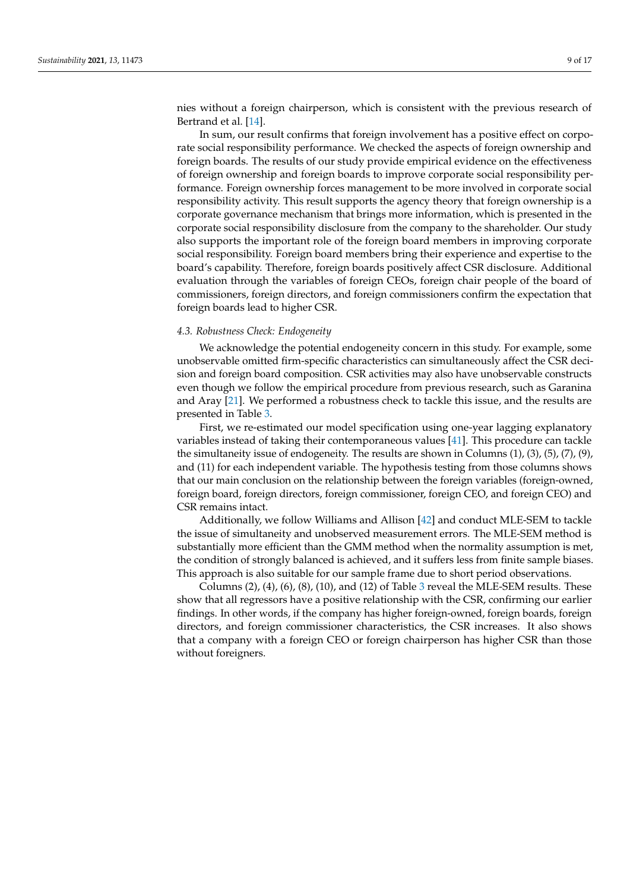nies without a foreign chairperson, which is consistent with the previous research of Bertrand et al. [\[14\]](#page-15-6).

In sum, our result confirms that foreign involvement has a positive effect on corporate social responsibility performance. We checked the aspects of foreign ownership and foreign boards. The results of our study provide empirical evidence on the effectiveness of foreign ownership and foreign boards to improve corporate social responsibility performance. Foreign ownership forces management to be more involved in corporate social responsibility activity. This result supports the agency theory that foreign ownership is a corporate governance mechanism that brings more information, which is presented in the corporate social responsibility disclosure from the company to the shareholder. Our study also supports the important role of the foreign board members in improving corporate social responsibility. Foreign board members bring their experience and expertise to the board's capability. Therefore, foreign boards positively affect CSR disclosure. Additional evaluation through the variables of foreign CEOs, foreign chair people of the board of commissioners, foreign directors, and foreign commissioners confirm the expectation that foreign boards lead to higher CSR.

#### *4.3. Robustness Check: Endogeneity*

We acknowledge the potential endogeneity concern in this study. For example, some unobservable omitted firm-specific characteristics can simultaneously affect the CSR decision and foreign board composition. CSR activities may also have unobservable constructs even though we follow the empirical procedure from previous research, such as Garanina and Aray [\[21\]](#page-15-13). We performed a robustness check to tackle this issue, and the results are presented in Table [3.](#page-9-0)

First, we re-estimated our model specification using one-year lagging explanatory variables instead of taking their contemporaneous values [\[41\]](#page-16-2). This procedure can tackle the simultaneity issue of endogeneity. The results are shown in Columns  $(1)$ ,  $(3)$ ,  $(5)$ ,  $(7)$ ,  $(9)$ , and (11) for each independent variable. The hypothesis testing from those columns shows that our main conclusion on the relationship between the foreign variables (foreign-owned, foreign board, foreign directors, foreign commissioner, foreign CEO, and foreign CEO) and CSR remains intact.

Additionally, we follow Williams and Allison [\[42\]](#page-16-3) and conduct MLE-SEM to tackle the issue of simultaneity and unobserved measurement errors. The MLE-SEM method is substantially more efficient than the GMM method when the normality assumption is met, the condition of strongly balanced is achieved, and it suffers less from finite sample biases. This approach is also suitable for our sample frame due to short period observations.

Columns  $(2)$ ,  $(4)$ ,  $(6)$ ,  $(8)$ ,  $(10)$ , and  $(12)$  of Table [3](#page-9-0) reveal the MLE-SEM results. These show that all regressors have a positive relationship with the CSR, confirming our earlier findings. In other words, if the company has higher foreign-owned, foreign boards, foreign directors, and foreign commissioner characteristics, the CSR increases. It also shows that a company with a foreign CEO or foreign chairperson has higher CSR than those without foreigners.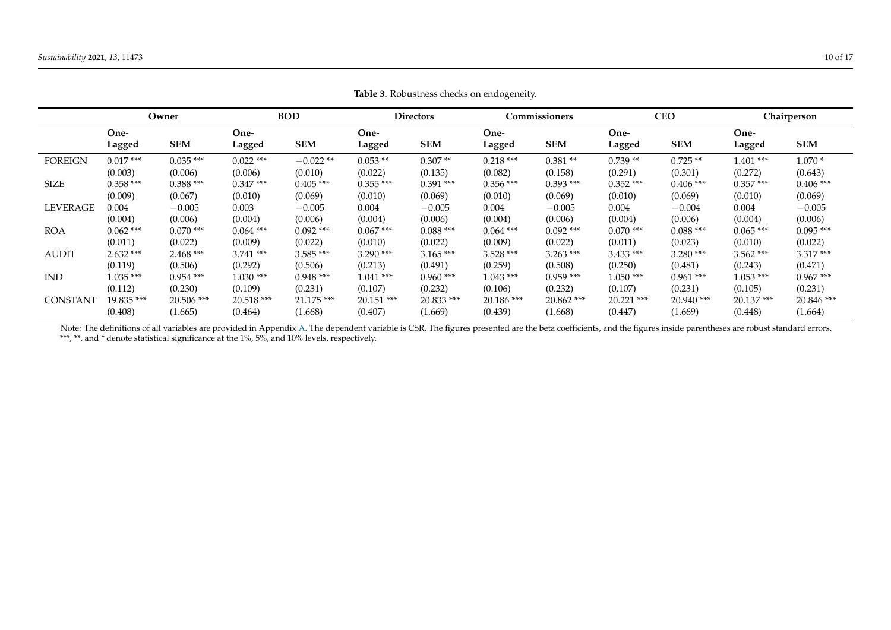|                 |             | Owner       |             | <b>BOD</b>   |              | Directors   |             | Commissioners |             | <b>CEO</b>  |              | Chairperson |
|-----------------|-------------|-------------|-------------|--------------|--------------|-------------|-------------|---------------|-------------|-------------|--------------|-------------|
|                 | One-        |             | One-        |              | One-         |             | One-        |               | One-        |             | One-         |             |
|                 | Lagged      | <b>SEM</b>  | Lagged      | <b>SEM</b>   | Lagged       | <b>SEM</b>  | Lagged      | <b>SEM</b>    | Lagged      | <b>SEM</b>  | Lagged       | <b>SEM</b>  |
| <b>FOREIGN</b>  | $0.017***$  | $0.035***$  | $0.022$ *** | $-0.022**$   | $0.053**$    | $0.307**$   | $0.218***$  | $0.381**$     | $0.739**$   | $0.725**$   | $1.401$ ***  | $1.070*$    |
|                 | (0.003)     | (0.006)     | (0.006)     | (0.010)      | (0.022)      | (0.135)     | (0.082)     | (0.158)       | (0.291)     | (0.301)     | (0.272)      | (0.643)     |
| <b>SIZE</b>     | $0.358$ *** | $0.388$ *** | $0.347***$  | $0.405$ ***  | $0.355$ ***  | $0.391$ *** | $0.356$ *** | $0.393$ ***   | $0.352$ *** | $0.406$ *** | $0.357***$   | $0.406$ *** |
|                 | (0.009)     | (0.067)     | (0.010)     | (0.069)      | (0.010)      | (0.069)     | (0.010)     | (0.069)       | (0.010)     | (0.069)     | (0.010)      | (0.069)     |
| LEVERAGE        | $0.004\,$   | $-0.005$    | 0.003       | $-0.005$     | 0.004        | $-0.005$    | 0.004       | $-0.005$      | 0.004       | $-0.004$    | 0.004        | $-0.005$    |
|                 | (0.004)     | (0.006)     | (0.004)     | (0.006)      | (0.004)      | (0.006)     | (0.004)     | (0.006)       | (0.004)     | (0.006)     | (0.004)      | (0.006)     |
| <b>ROA</b>      | $0.062$ *** | $0.070$ *** | $0.064$ *** | $0.092$ ***  | $0.067***$   | $0.088***$  | $0.064$ *** | $0.092$ ***   | $0.070$ *** | $0.088***$  | $0.065$ ***  | $0.095$ *** |
|                 | (0.011)     | (0.022)     | (0.009)     | (0.022)      | (0.010)      | (0.022)     | (0.009)     | (0.022)       | (0.011)     | (0.023)     | (0.010)      | (0.022)     |
| <b>AUDIT</b>    | $2.632***$  | $2.468***$  | $3.741$ *** | $3.585$ ***  | $3.290$ ***  | $3.165***$  | $3.528$ *** | $3.263$ ***   | $3.433$ *** | $3.280$ *** | $3.562$ ***  | $3.317***$  |
|                 | (0.119)     | (0.506)     | (0.292)     | (0.506)      | (0.213)      | (0.491)     | (0.259)     | (0.508)       | (0.250)     | (0.481)     | (0.243)      | (0.471)     |
| <b>IND</b>      | $1.035***$  | $0.954$ *** | $1.030***$  | $0.948$ ***  | $1.041***$   | $0.960$ *** | $1.043***$  | $0.959$ ***   | $1.050***$  | $0.961$ *** | $1.053$ ***  | $0.967***$  |
|                 | (0.112)     | (0.230)     | (0.109)     | (0.231)      | (0.107)      | (0.232)     | (0.106)     | (0.232)       | (0.107)     | (0.231)     | (0.105)      | (0.231)     |
| <b>CONSTANT</b> | 19.835***   | 20.506 ***  | 20.518 ***  | $21.175$ *** | $20.151$ *** | 20.833***   | 20.186***   | $20.862$ ***  | 20.221 ***  | 20.940***   | $20.137$ *** | 20.846 ***  |
|                 | (0.408)     | (1.665)     | (0.464)     | (1.668)      | (0.407)      | (1.669)     | (0.439)     | (1.668)       | (0.447)     | (1.669)     | (0.448)      | (1.664)     |

**Table 3.** Robustness checks on endogeneity.

<span id="page-9-0"></span>Note: The definitions of all variables are provided in Appendix [A.](#page-14-8) The dependent variable is CSR. The figures presented are the beta coefficients, and the figures inside parentheses are robust standard errors. \*\*\*, \*\*, and \* denote statistical significance at the 1%, 5%, and 10% levels, respectively.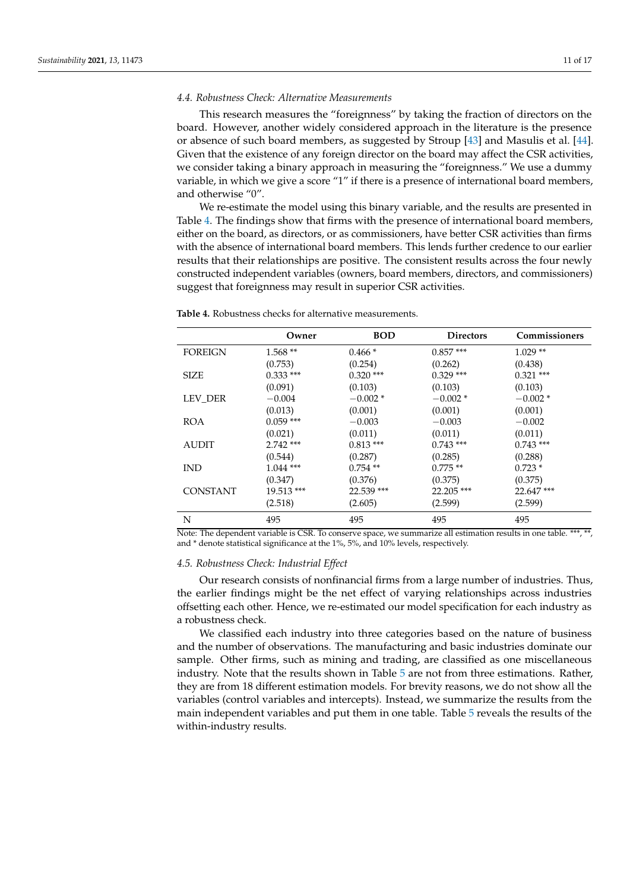# *4.4. Robustness Check: Alternative Measurements*

This research measures the "foreignness" by taking the fraction of directors on the board. However, another widely considered approach in the literature is the presence or absence of such board members, as suggested by Stroup [\[43\]](#page-16-4) and Masulis et al. [\[44\]](#page-16-5). Given that the existence of any foreign director on the board may affect the CSR activities, we consider taking a binary approach in measuring the "foreignness." We use a dummy variable, in which we give a score "1" if there is a presence of international board members, and otherwise "0".

We re-estimate the model using this binary variable, and the results are presented in Table [4.](#page-10-0) The findings show that firms with the presence of international board members, either on the board, as directors, or as commissioners, have better CSR activities than firms with the absence of international board members. This lends further credence to our earlier results that their relationships are positive. The consistent results across the four newly constructed independent variables (owners, board members, directors, and commissioners) suggest that foreignness may result in superior CSR activities.

|                 | Owner        | <b>BOD</b>  | <b>Directors</b> | Commissioners |
|-----------------|--------------|-------------|------------------|---------------|
| <b>FOREIGN</b>  | $1.568**$    | $0.466*$    | $0.857***$       | $1.029**$     |
|                 | (0.753)      | (0.254)     | (0.262)          | (0.438)       |
| <b>SIZE</b>     | $0.333$ ***  | $0.320$ *** | $0.329$ ***      | $0.321$ ***   |
|                 | (0.091)      | (0.103)     | (0.103)          | (0.103)       |
| LEV DER         | $-0.004$     | $-0.002*$   | $-0.002*$        | $-0.002*$     |
|                 | (0.013)      | (0.001)     | (0.001)          | (0.001)       |
| <b>ROA</b>      | $0.059$ ***  | $-0.003$    | $-0.003$         | $-0.002$      |
|                 | (0.021)      | (0.011)     | (0.011)          | (0.011)       |
| <b>AUDIT</b>    | $2.742$ ***  | $0.813***$  | $0.743$ ***      | $0.743$ ***   |
|                 | (0.544)      | (0.287)     | (0.285)          | (0.288)       |
| <b>IND</b>      | $1.044$ ***  | $0.754$ **  | $0.775**$        | $0.723*$      |
|                 | (0.347)      | (0.376)     | (0.375)          | (0.375)       |
| <b>CONSTANT</b> | $19.513$ *** | 22.539 ***  | $22.205$ ***     | 22.647***     |
|                 | (2.518)      | (2.605)     | (2.599)          | (2.599)       |
| N               | 495          | 495         | 495              | 495           |

<span id="page-10-0"></span>**Table 4.** Robustness checks for alternative measurements.

Note: The dependent variable is CSR. To conserve space, we summarize all estimation results in one table. \*\*\*, \*\*, and \* denote statistical significance at the 1%, 5%, and 10% levels, respectively.

## *4.5. Robustness Check: Industrial Effect*

Our research consists of nonfinancial firms from a large number of industries. Thus, the earlier findings might be the net effect of varying relationships across industries offsetting each other. Hence, we re-estimated our model specification for each industry as a robustness check.

We classified each industry into three categories based on the nature of business and the number of observations. The manufacturing and basic industries dominate our sample. Other firms, such as mining and trading, are classified as one miscellaneous industry. Note that the results shown in Table [5](#page-11-0) are not from three estimations. Rather, they are from 18 different estimation models. For brevity reasons, we do not show all the variables (control variables and intercepts). Instead, we summarize the results from the main independent variables and put them in one table. Table [5](#page-11-0) reveals the results of the within-industry results.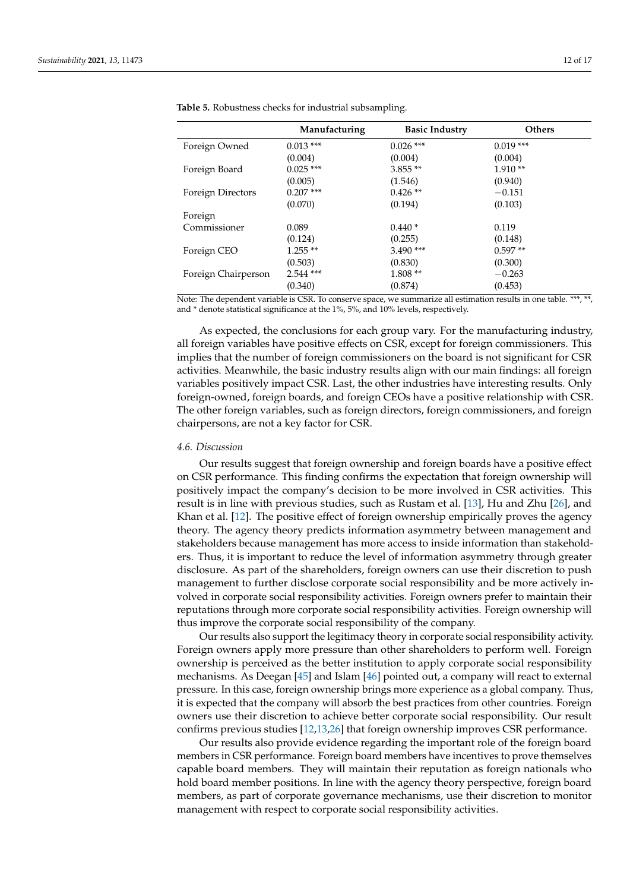|                     | Manufacturing | <b>Basic Industry</b> | <b>Others</b> |
|---------------------|---------------|-----------------------|---------------|
| Foreign Owned       | $0.013$ ***   | $0.026$ ***           | $0.019$ ***   |
|                     | (0.004)       | (0.004)               | (0.004)       |
| Foreign Board       | $0.025$ ***   | $3.855**$             | $1.910**$     |
|                     | (0.005)       | (1.546)               | (0.940)       |
| Foreign Directors   | $0.207$ ***   | $0.426**$             | $-0.151$      |
|                     | (0.070)       | (0.194)               | (0.103)       |
| Foreign             |               |                       |               |
| Commissioner        | 0.089         | $0.440*$              | 0.119         |
|                     | (0.124)       | (0.255)               | (0.148)       |
| Foreign CEO         | $1.255**$     | $3.490$ ***           | $0.597**$     |
|                     | (0.503)       | (0.830)               | (0.300)       |
| Foreign Chairperson | $2.544$ ***   | $1.808**$             | $-0.263$      |
|                     | (0.340)       | (0.874)               | (0.453)       |

<span id="page-11-0"></span>**Table 5.** Robustness checks for industrial subsampling.

Note: The dependent variable is CSR. To conserve space, we summarize all estimation results in one table. \*\*\*, \*\*, and \* denote statistical significance at the 1%, 5%, and 10% levels, respectively.

As expected, the conclusions for each group vary. For the manufacturing industry, all foreign variables have positive effects on CSR, except for foreign commissioners. This implies that the number of foreign commissioners on the board is not significant for CSR activities. Meanwhile, the basic industry results align with our main findings: all foreign variables positively impact CSR. Last, the other industries have interesting results. Only foreign-owned, foreign boards, and foreign CEOs have a positive relationship with CSR. The other foreign variables, such as foreign directors, foreign commissioners, and foreign chairpersons, are not a key factor for CSR.

#### *4.6. Discussion*

Our results suggest that foreign ownership and foreign boards have a positive effect on CSR performance. This finding confirms the expectation that foreign ownership will positively impact the company's decision to be more involved in CSR activities. This result is in line with previous studies, such as Rustam et al. [\[13\]](#page-15-5), Hu and Zhu [\[26\]](#page-15-18), and Khan et al. [\[12\]](#page-15-4). The positive effect of foreign ownership empirically proves the agency theory. The agency theory predicts information asymmetry between management and stakeholders because management has more access to inside information than stakeholders. Thus, it is important to reduce the level of information asymmetry through greater disclosure. As part of the shareholders, foreign owners can use their discretion to push management to further disclose corporate social responsibility and be more actively involved in corporate social responsibility activities. Foreign owners prefer to maintain their reputations through more corporate social responsibility activities. Foreign ownership will thus improve the corporate social responsibility of the company.

Our results also support the legitimacy theory in corporate social responsibility activity. Foreign owners apply more pressure than other shareholders to perform well. Foreign ownership is perceived as the better institution to apply corporate social responsibility mechanisms. As Deegan [\[45\]](#page-16-6) and Islam [\[46\]](#page-16-7) pointed out, a company will react to external pressure. In this case, foreign ownership brings more experience as a global company. Thus, it is expected that the company will absorb the best practices from other countries. Foreign owners use their discretion to achieve better corporate social responsibility. Our result confirms previous studies [\[12](#page-15-4)[,13](#page-15-5)[,26\]](#page-15-18) that foreign ownership improves CSR performance.

Our results also provide evidence regarding the important role of the foreign board members in CSR performance. Foreign board members have incentives to prove themselves capable board members. They will maintain their reputation as foreign nationals who hold board member positions. In line with the agency theory perspective, foreign board members, as part of corporate governance mechanisms, use their discretion to monitor management with respect to corporate social responsibility activities.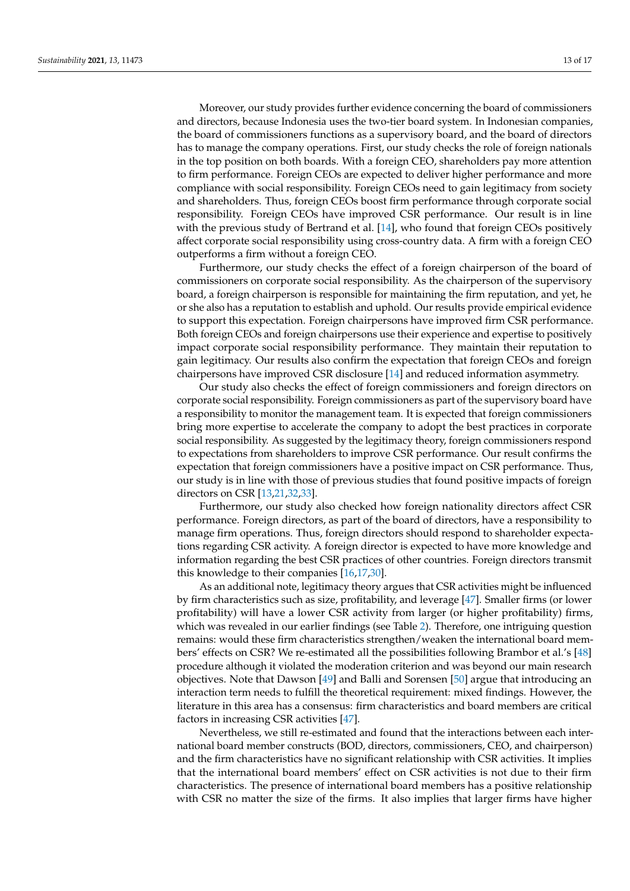Moreover, our study provides further evidence concerning the board of commissioners and directors, because Indonesia uses the two-tier board system. In Indonesian companies, the board of commissioners functions as a supervisory board, and the board of directors has to manage the company operations. First, our study checks the role of foreign nationals in the top position on both boards. With a foreign CEO, shareholders pay more attention to firm performance. Foreign CEOs are expected to deliver higher performance and more compliance with social responsibility. Foreign CEOs need to gain legitimacy from society and shareholders. Thus, foreign CEOs boost firm performance through corporate social responsibility. Foreign CEOs have improved CSR performance. Our result is in line with the previous study of Bertrand et al. [\[14\]](#page-15-6), who found that foreign CEOs positively affect corporate social responsibility using cross-country data. A firm with a foreign CEO outperforms a firm without a foreign CEO.

Furthermore, our study checks the effect of a foreign chairperson of the board of commissioners on corporate social responsibility. As the chairperson of the supervisory board, a foreign chairperson is responsible for maintaining the firm reputation, and yet, he or she also has a reputation to establish and uphold. Our results provide empirical evidence to support this expectation. Foreign chairpersons have improved firm CSR performance. Both foreign CEOs and foreign chairpersons use their experience and expertise to positively impact corporate social responsibility performance. They maintain their reputation to gain legitimacy. Our results also confirm the expectation that foreign CEOs and foreign chairpersons have improved CSR disclosure [\[14\]](#page-15-6) and reduced information asymmetry.

Our study also checks the effect of foreign commissioners and foreign directors on corporate social responsibility. Foreign commissioners as part of the supervisory board have a responsibility to monitor the management team. It is expected that foreign commissioners bring more expertise to accelerate the company to adopt the best practices in corporate social responsibility. As suggested by the legitimacy theory, foreign commissioners respond to expectations from shareholders to improve CSR performance. Our result confirms the expectation that foreign commissioners have a positive impact on CSR performance. Thus, our study is in line with those of previous studies that found positive impacts of foreign directors on CSR [\[13](#page-15-5)[,21](#page-15-13)[,32](#page-15-24)[,33\]](#page-15-25).

Furthermore, our study also checked how foreign nationality directors affect CSR performance. Foreign directors, as part of the board of directors, have a responsibility to manage firm operations. Thus, foreign directors should respond to shareholder expectations regarding CSR activity. A foreign director is expected to have more knowledge and information regarding the best CSR practices of other countries. Foreign directors transmit this knowledge to their companies [\[16](#page-15-8)[,17](#page-15-9)[,30\]](#page-15-22).

As an additional note, legitimacy theory argues that CSR activities might be influenced by firm characteristics such as size, profitability, and leverage [\[47\]](#page-16-8). Smaller firms (or lower profitability) will have a lower CSR activity from larger (or higher profitability) firms, which was revealed in our earlier findings (see Table [2\)](#page-6-0). Therefore, one intriguing question remains: would these firm characteristics strengthen/weaken the international board members' effects on CSR? We re-estimated all the possibilities following Brambor et al.'s [\[48\]](#page-16-9) procedure although it violated the moderation criterion and was beyond our main research objectives. Note that Dawson [\[49\]](#page-16-10) and Balli and Sorensen [\[50\]](#page-16-11) argue that introducing an interaction term needs to fulfill the theoretical requirement: mixed findings. However, the literature in this area has a consensus: firm characteristics and board members are critical factors in increasing CSR activities [\[47\]](#page-16-8).

Nevertheless, we still re-estimated and found that the interactions between each international board member constructs (BOD, directors, commissioners, CEO, and chairperson) and the firm characteristics have no significant relationship with CSR activities. It implies that the international board members' effect on CSR activities is not due to their firm characteristics. The presence of international board members has a positive relationship with CSR no matter the size of the firms. It also implies that larger firms have higher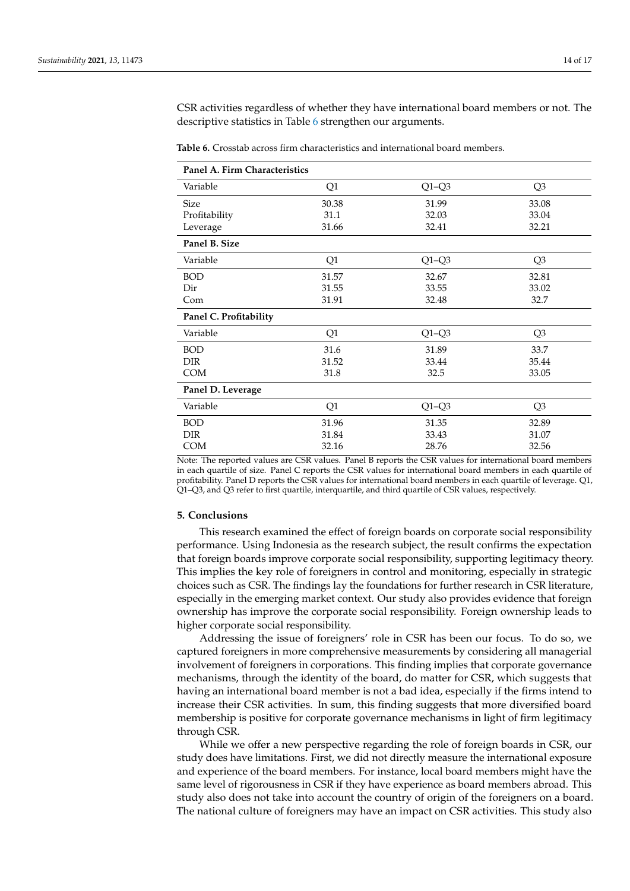CSR activities regardless of whether they have international board members or not. The descriptive statistics in Table [6](#page-13-0) strengthen our arguments.

| Panel A. Firm Characteristics |       |         |                |  |  |
|-------------------------------|-------|---------|----------------|--|--|
| Variable                      | Q1    | $Q1-Q3$ | Q <sub>3</sub> |  |  |
| <b>Size</b>                   | 30.38 | 31.99   | 33.08          |  |  |
| Profitability                 | 31.1  | 32.03   | 33.04          |  |  |
| Leverage                      | 31.66 | 32.41   | 32.21          |  |  |
| Panel B. Size                 |       |         |                |  |  |
| Variable                      | Q1    | $Q1-Q3$ | Q <sub>3</sub> |  |  |
| <b>BOD</b>                    | 31.57 | 32.67   | 32.81          |  |  |
| Dir                           | 31.55 | 33.55   | 33.02          |  |  |
| Com                           | 31.91 | 32.48   | 32.7           |  |  |
| Panel C. Profitability        |       |         |                |  |  |
| Variable                      | Q1    | $Q1-Q3$ | Q3             |  |  |
| <b>BOD</b>                    | 31.6  | 31.89   | 33.7           |  |  |
| <b>DIR</b>                    | 31.52 | 33.44   | 35.44          |  |  |
| <b>COM</b>                    | 31.8  | 32.5    | 33.05          |  |  |
| Panel D. Leverage             |       |         |                |  |  |
| Variable                      | Q1    | $Q1-Q3$ | Q3             |  |  |
| <b>BOD</b>                    | 31.96 | 31.35   | 32.89          |  |  |
| <b>DIR</b>                    | 31.84 | 33.43   | 31.07          |  |  |
| <b>COM</b>                    | 32.16 | 28.76   | 32.56          |  |  |

<span id="page-13-0"></span>**Table 6.** Crosstab across firm characteristics and international board members.

Note: The reported values are CSR values. Panel B reports the CSR values for international board members in each quartile of size. Panel C reports the CSR values for international board members in each quartile of profitability. Panel D reports the CSR values for international board members in each quartile of leverage. Q1, Q1–Q3, and Q3 refer to first quartile, interquartile, and third quartile of CSR values, respectively.

#### **5. Conclusions**

This research examined the effect of foreign boards on corporate social responsibility performance. Using Indonesia as the research subject, the result confirms the expectation that foreign boards improve corporate social responsibility, supporting legitimacy theory. This implies the key role of foreigners in control and monitoring, especially in strategic choices such as CSR. The findings lay the foundations for further research in CSR literature, especially in the emerging market context. Our study also provides evidence that foreign ownership has improve the corporate social responsibility. Foreign ownership leads to higher corporate social responsibility.

Addressing the issue of foreigners' role in CSR has been our focus. To do so, we captured foreigners in more comprehensive measurements by considering all managerial involvement of foreigners in corporations. This finding implies that corporate governance mechanisms, through the identity of the board, do matter for CSR, which suggests that having an international board member is not a bad idea, especially if the firms intend to increase their CSR activities. In sum, this finding suggests that more diversified board membership is positive for corporate governance mechanisms in light of firm legitimacy through CSR.

While we offer a new perspective regarding the role of foreign boards in CSR, our study does have limitations. First, we did not directly measure the international exposure and experience of the board members. For instance, local board members might have the same level of rigorousness in CSR if they have experience as board members abroad. This study also does not take into account the country of origin of the foreigners on a board. The national culture of foreigners may have an impact on CSR activities. This study also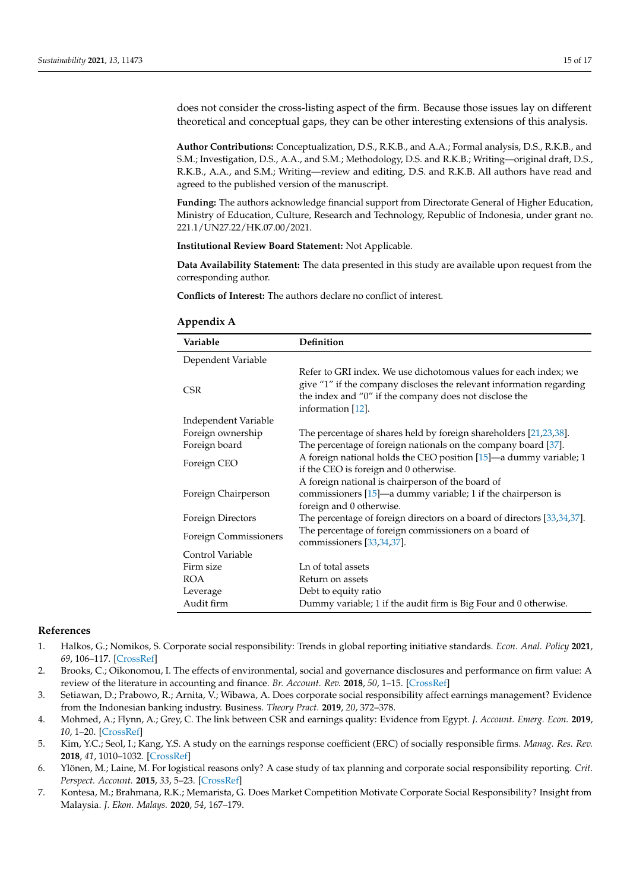<span id="page-14-8"></span>does not consider the cross-listing aspect of the firm. Because those issues lay on different theoretical and conceptual gaps, they can be other interesting extensions of this analysis.

**Author Contributions:** Conceptualization, D.S., R.K.B., and A.A.; Formal analysis, D.S., R.K.B., and S.M.; Investigation, D.S., A.A., and S.M.; Methodology, D.S. and R.K.B.; Writing—original draft, D.S., R.K.B., A.A., and S.M.; Writing—review and editing, D.S. and R.K.B. All authors have read and agreed to the published version of the manuscript.

**Funding:** The authors acknowledge financial support from Directorate General of Higher Education, Ministry of Education, Culture, Research and Technology, Republic of Indonesia, under grant no. 221.1/UN27.22/HK.07.00/2021.

**Institutional Review Board Statement:** Not Applicable.

**Data Availability Statement:** The data presented in this study are available upon request from the corresponding author.

**Conflicts of Interest:** The authors declare no conflict of interest.

| Variable              | Definition                                                                                                                                                                                                              |
|-----------------------|-------------------------------------------------------------------------------------------------------------------------------------------------------------------------------------------------------------------------|
| Dependent Variable    |                                                                                                                                                                                                                         |
| <b>CSR</b>            | Refer to GRI index. We use dichotomous values for each index; we<br>give "1" if the company discloses the relevant information regarding<br>the index and "0" if the company does not disclose the<br>information [12]. |
| Independent Variable  |                                                                                                                                                                                                                         |
| Foreign ownership     | The percentage of shares held by foreign shareholders [21,23,38].                                                                                                                                                       |
| Foreign board         | The percentage of foreign nationals on the company board [37].                                                                                                                                                          |
| Foreign CEO           | A foreign national holds the CEO position [15]—a dummy variable; 1<br>if the CEO is foreign and 0 otherwise.                                                                                                            |
|                       | A foreign national is chairperson of the board of                                                                                                                                                                       |
| Foreign Chairperson   | commissioners $[15]$ —a dummy variable; 1 if the chairperson is<br>foreign and 0 otherwise.                                                                                                                             |
| Foreign Directors     | The percentage of foreign directors on a board of directors [33,34,37].                                                                                                                                                 |
|                       | The percentage of foreign commissioners on a board of                                                                                                                                                                   |
| Foreign Commissioners | commissioners [33,34,37].                                                                                                                                                                                               |
| Control Variable      |                                                                                                                                                                                                                         |
| Firm size             | Ln of total assets                                                                                                                                                                                                      |
| <b>ROA</b>            | Return on assets                                                                                                                                                                                                        |
| Leverage              | Debt to equity ratio                                                                                                                                                                                                    |
| Audit firm            | Dummy variable; 1 if the audit firm is Big Four and 0 otherwise.                                                                                                                                                        |

# <span id="page-14-7"></span>**Appendix A**

# **References**

- <span id="page-14-0"></span>1. Halkos, G.; Nomikos, S. Corporate social responsibility: Trends in global reporting initiative standards. *Econ. Anal. Policy* **2021**, *69*, 106–117. [\[CrossRef\]](http://doi.org/10.1016/j.eap.2020.11.008)
- <span id="page-14-1"></span>2. Brooks, C.; Oikonomou, I. The effects of environmental, social and governance disclosures and performance on firm value: A review of the literature in accounting and finance. *Br. Account. Rev.* **2018**, *50*, 1–15. [\[CrossRef\]](http://doi.org/10.1016/j.bar.2017.11.005)
- <span id="page-14-2"></span>3. Setiawan, D.; Prabowo, R.; Arnita, V.; Wibawa, A. Does corporate social responsibility affect earnings management? Evidence from the Indonesian banking industry. Business. *Theory Pract.* **2019**, *20*, 372–378.
- <span id="page-14-3"></span>4. Mohmed, A.; Flynn, A.; Grey, C. The link between CSR and earnings quality: Evidence from Egypt. *J. Account. Emerg. Econ.* **2019**, *10*, 1–20. [\[CrossRef\]](http://doi.org/10.1108/JAEE-10-2018-0109)
- <span id="page-14-4"></span>5. Kim, Y.C.; Seol, I.; Kang, Y.S. A study on the earnings response coefficient (ERC) of socially responsible firms. *Manag. Res. Rev.* **2018**, *41*, 1010–1032. [\[CrossRef\]](http://doi.org/10.1108/MRR-01-2017-0024)
- <span id="page-14-5"></span>6. Ylönen, M.; Laine, M. For logistical reasons only? A case study of tax planning and corporate social responsibility reporting. *Crit. Perspect. Account.* **2015**, *33*, 5–23. [\[CrossRef\]](http://doi.org/10.1016/j.cpa.2014.12.001)
- <span id="page-14-6"></span>7. Kontesa, M.; Brahmana, R.K.; Memarista, G. Does Market Competition Motivate Corporate Social Responsibility? Insight from Malaysia. *J. Ekon. Malays.* **2020**, *54*, 167–179.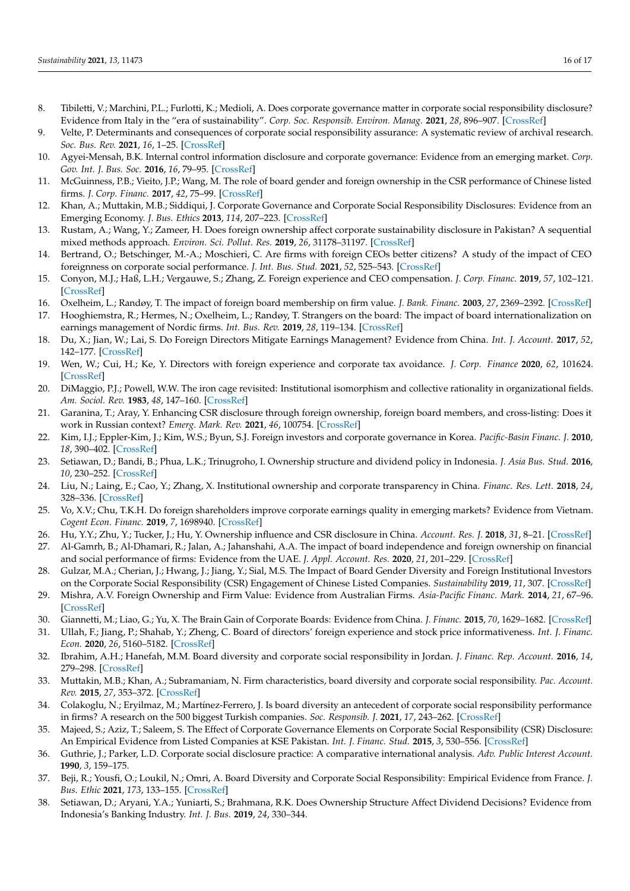- <span id="page-15-0"></span>8. Tibiletti, V.; Marchini, P.L.; Furlotti, K.; Medioli, A. Does corporate governance matter in corporate social responsibility disclosure? Evidence from Italy in the "era of sustainability". *Corp. Soc. Responsib. Environ. Manag.* **2021**, *28*, 896–907. [\[CrossRef\]](http://doi.org/10.1002/csr.2097)
- <span id="page-15-1"></span>9. Velte, P. Determinants and consequences of corporate social responsibility assurance: A systematic review of archival research. *Soc. Bus. Rev.* **2021**, *16*, 1–25. [\[CrossRef\]](http://doi.org/10.1108/SBR-05-2020-0077)
- <span id="page-15-2"></span>10. Agyei-Mensah, B.K. Internal control information disclosure and corporate governance: Evidence from an emerging market. *Corp. Gov. Int. J. Bus. Soc.* **2016**, *16*, 79–95. [\[CrossRef\]](http://doi.org/10.1108/CG-10-2015-0136)
- <span id="page-15-3"></span>11. McGuinness, P.B.; Vieito, J.P.; Wang, M. The role of board gender and foreign ownership in the CSR performance of Chinese listed firms. *J. Corp. Financ.* **2017**, *42*, 75–99. [\[CrossRef\]](http://doi.org/10.1016/j.jcorpfin.2016.11.001)
- <span id="page-15-4"></span>12. Khan, A.; Muttakin, M.B.; Siddiqui, J. Corporate Governance and Corporate Social Responsibility Disclosures: Evidence from an Emerging Economy. *J. Bus. Ethics* **2013**, *114*, 207–223. [\[CrossRef\]](http://doi.org/10.1007/s10551-012-1336-0)
- <span id="page-15-5"></span>13. Rustam, A.; Wang, Y.; Zameer, H. Does foreign ownership affect corporate sustainability disclosure in Pakistan? A sequential mixed methods approach. *Environ. Sci. Pollut. Res.* **2019**, *26*, 31178–31197. [\[CrossRef\]](http://doi.org/10.1007/s11356-019-06250-3)
- <span id="page-15-6"></span>14. Bertrand, O.; Betschinger, M.-A.; Moschieri, C. Are firms with foreign CEOs better citizens? A study of the impact of CEO foreignness on corporate social performance. *J. Int. Bus. Stud.* **2021**, *52*, 525–543. [\[CrossRef\]](http://doi.org/10.1057/s41267-020-00381-3)
- <span id="page-15-7"></span>15. Conyon, M.J.; Haß, L.H.; Vergauwe, S.; Zhang, Z. Foreign experience and CEO compensation. *J. Corp. Financ.* **2019**, *57*, 102–121. [\[CrossRef\]](http://doi.org/10.1016/j.jcorpfin.2017.12.016)
- <span id="page-15-8"></span>16. Oxelheim, L.; Randøy, T. The impact of foreign board membership on firm value. *J. Bank. Financ.* **2003**, *27*, 2369–2392. [\[CrossRef\]](http://doi.org/10.1016/S0378-4266(02)00395-3)
- <span id="page-15-9"></span>17. Hooghiemstra, R.; Hermes, N.; Oxelheim, L.; Randøy, T. Strangers on the board: The impact of board internationalization on earnings management of Nordic firms. *Int. Bus. Rev.* **2019**, *28*, 119–134. [\[CrossRef\]](http://doi.org/10.1016/j.ibusrev.2018.08.007)
- <span id="page-15-10"></span>18. Du, X.; Jian, W.; Lai, S. Do Foreign Directors Mitigate Earnings Management? Evidence from China. *Int. J. Account.* **2017**, *52*, 142–177. [\[CrossRef\]](http://doi.org/10.1016/j.intacc.2017.04.002)
- <span id="page-15-11"></span>19. Wen, W.; Cui, H.; Ke, Y. Directors with foreign experience and corporate tax avoidance. *J. Corp. Finance* **2020**, *62*, 101624. [\[CrossRef\]](http://doi.org/10.1016/j.jcorpfin.2020.101624)
- <span id="page-15-12"></span>20. DiMaggio, P.J.; Powell, W.W. The iron cage revisited: Institutional isomorphism and collective rationality in organizational fields. *Am. Sociol. Rev.* **1983**, *48*, 147–160. [\[CrossRef\]](http://doi.org/10.2307/2095101)
- <span id="page-15-13"></span>21. Garanina, T.; Aray, Y. Enhancing CSR disclosure through foreign ownership, foreign board members, and cross-listing: Does it work in Russian context? *Emerg. Mark. Rev.* **2021**, *46*, 100754. [\[CrossRef\]](http://doi.org/10.1016/j.ememar.2020.100754)
- <span id="page-15-14"></span>22. Kim, I.J.; Eppler-Kim, J.; Kim, W.S.; Byun, S.J. Foreign investors and corporate governance in Korea. *Pacific-Basin Financ. J.* **2010**, *18*, 390–402. [\[CrossRef\]](http://doi.org/10.1016/j.pacfin.2010.04.002)
- <span id="page-15-15"></span>23. Setiawan, D.; Bandi, B.; Phua, L.K.; Trinugroho, I. Ownership structure and dividend policy in Indonesia. *J. Asia Bus. Stud.* **2016**, *10*, 230–252. [\[CrossRef\]](http://doi.org/10.1108/JABS-05-2015-0053)
- <span id="page-15-16"></span>24. Liu, N.; Laing, E.; Cao, Y.; Zhang, X. Institutional ownership and corporate transparency in China. *Financ. Res. Lett.* **2018**, *24*, 328–336. [\[CrossRef\]](http://doi.org/10.1016/j.frl.2017.12.001)
- <span id="page-15-17"></span>25. Vo, X.V.; Chu, T.K.H. Do foreign shareholders improve corporate earnings quality in emerging markets? Evidence from Vietnam. *Cogent Econ. Financ.* **2019**, *7*, 1698940. [\[CrossRef\]](http://doi.org/10.1080/23322039.2019.1698940)
- <span id="page-15-18"></span>26. Hu, Y.Y.; Zhu, Y.; Tucker, J.; Hu, Y. Ownership influence and CSR disclosure in China. *Account. Res. J.* **2018**, *31*, 8–21. [\[CrossRef\]](http://doi.org/10.1108/ARJ-01-2017-0011)
- <span id="page-15-19"></span>27. Al-Gamrh, B.; Al-Dhamari, R.; Jalan, A.; Jahanshahi, A.A. The impact of board independence and foreign ownership on financial and social performance of firms: Evidence from the UAE. *J. Appl. Account. Res.* **2020**, *21*, 201–229. [\[CrossRef\]](http://doi.org/10.1108/JAAR-09-2018-0147)
- <span id="page-15-20"></span>28. Gulzar, M.A.; Cherian, J.; Hwang, J.; Jiang, Y.; Sial, M.S. The Impact of Board Gender Diversity and Foreign Institutional Investors on the Corporate Social Responsibility (CSR) Engagement of Chinese Listed Companies. *Sustainability* **2019**, *11*, 307. [\[CrossRef\]](http://doi.org/10.3390/su11020307)
- <span id="page-15-21"></span>29. Mishra, A.V. Foreign Ownership and Firm Value: Evidence from Australian Firms. *Asia-Pacific Financ. Mark.* **2014**, *21*, 67–96. [\[CrossRef\]](http://doi.org/10.1007/s10690-013-9177-0)
- <span id="page-15-22"></span>30. Giannetti, M.; Liao, G.; Yu, X. The Brain Gain of Corporate Boards: Evidence from China. *J. Financ.* **2015**, *70*, 1629–1682. [\[CrossRef\]](http://doi.org/10.1111/jofi.12198)
- <span id="page-15-23"></span>31. Ullah, F.; Jiang, P.; Shahab, Y.; Zheng, C. Board of directors' foreign experience and stock price informativeness. *Int. J. Financ. Econ.* **2020**, *26*, 5160–5182. [\[CrossRef\]](http://doi.org/10.1002/ijfe.2059)
- <span id="page-15-24"></span>32. Ibrahim, A.H.; Hanefah, M.M. Board diversity and corporate social responsibility in Jordan. *J. Financ. Rep. Account.* **2016**, *14*, 279–298. [\[CrossRef\]](http://doi.org/10.1108/JFRA-06-2015-0065)
- <span id="page-15-25"></span>33. Muttakin, M.B.; Khan, A.; Subramaniam, N. Firm characteristics, board diversity and corporate social responsibility. *Pac. Account. Rev.* **2015**, *27*, 353–372. [\[CrossRef\]](http://doi.org/10.1108/PAR-01-2013-0007)
- <span id="page-15-26"></span>34. Colakoglu, N.; Eryilmaz, M.; Martínez-Ferrero, J. Is board diversity an antecedent of corporate social responsibility performance in firms? A research on the 500 biggest Turkish companies. *Soc. Responsib. J.* **2021**, *17*, 243–262. [\[CrossRef\]](http://doi.org/10.1108/SRJ-07-2019-0251)
- <span id="page-15-27"></span>35. Majeed, S.; Aziz, T.; Saleem, S. The Effect of Corporate Governance Elements on Corporate Social Responsibility (CSR) Disclosure: An Empirical Evidence from Listed Companies at KSE Pakistan. *Int. J. Financ. Stud.* **2015**, *3*, 530–556. [\[CrossRef\]](http://doi.org/10.3390/ijfs3040530)
- <span id="page-15-28"></span>36. Guthrie, J.; Parker, L.D. Corporate social disclosure practice: A comparative international analysis. *Adv. Public Interest Account.* **1990**, *3*, 159–175.
- <span id="page-15-29"></span>37. Beji, R.; Yousfi, O.; Loukil, N.; Omri, A. Board Diversity and Corporate Social Responsibility: Empirical Evidence from France. *J. Bus. Ethic* **2021**, *173*, 133–155. [\[CrossRef\]](http://doi.org/10.1007/s10551-020-04522-4)
- <span id="page-15-30"></span>38. Setiawan, D.; Aryani, Y.A.; Yuniarti, S.; Brahmana, R.K. Does Ownership Structure Affect Dividend Decisions? Evidence from Indonesia's Banking Industry. *Int. J. Bus.* **2019**, *24*, 330–344.